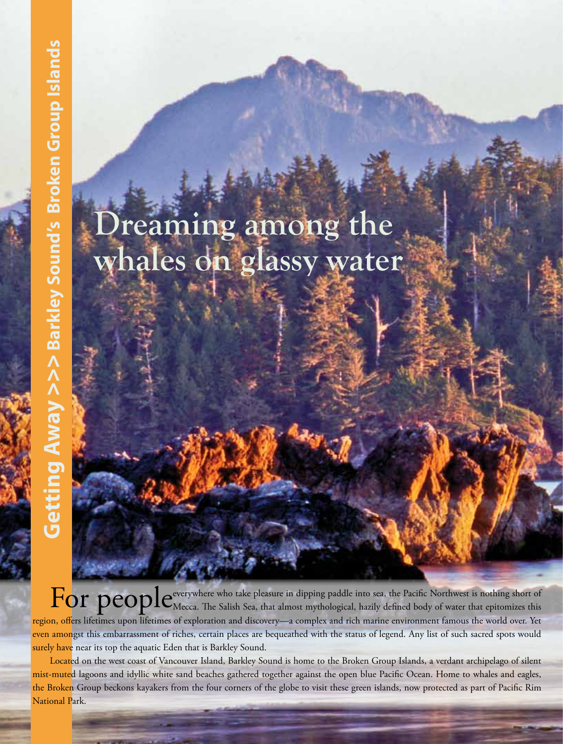# **Dreaming among the whales on glassy water**

For people-verywhere who take pleasure in dipping paddle into sea, the Pacific Northwest is nothing short of  $\mathbf F$  of Mecca. The Salish Sea, that almost mythological, hazily defined body of water that epitomizes this region, offers lifetimes upon lifetimes of exploration and discovery—a complex and rich marine environment famous the world over. Yet even amongst this embarrassment of riches, certain places are bequeathed with the status of legend. Any list of such sacred spots would surely have near its top the aquatic Eden that is Barkley Sound.

Located on the west coast of Vancouver Island, Barkley Sound is home to the Broken Group Islands, a verdant archipelago of silent mist-muted lagoons and idyllic white sand beaches gathered together against the open blue Pacific Ocean. Home to whales and eagles, the Broken Group beckons kayakers from the four corners of the globe to visit these green islands, now protected as part of Pacific Rim National Park.

32race | play | experience **>>>** subscribe, submit, advertise, read more .... info at www.AdventuresNW.com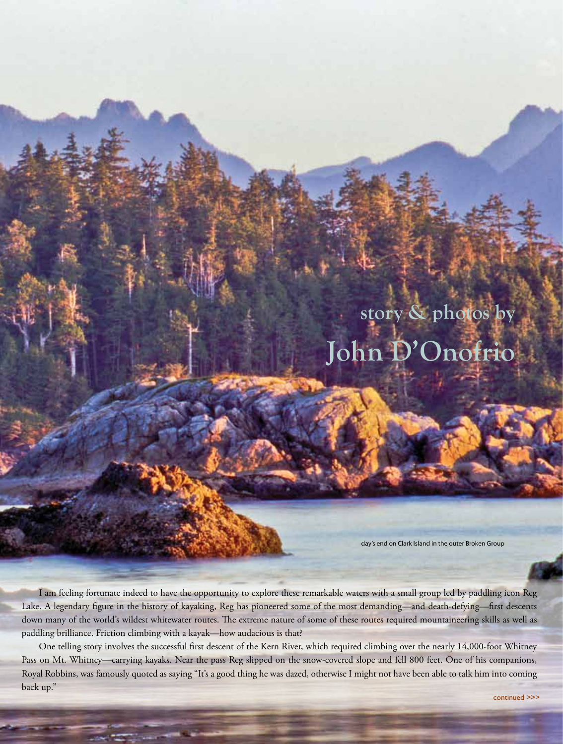## **story & photos by John D'Onofrio**

day's end on Clark Island in the outer Broken Group

I am feeling fortunate indeed to have the opportunity to explore these remarkable waters with a small group led by paddling icon Reg Lake. A legendary figure in the history of kayaking, Reg has pioneered some of the most demanding—and death-defying—first descents down many of the world's wildest whitewater routes. The extreme nature of some of these routes required mountaineering skills as well as paddling brilliance. Friction climbing with a kayak—how audacious is that?

One telling story involves the successful first descent of the Kern River, which required climbing over the nearly 14,000-foot Whitney Pass on Mt. Whitney—carrying kayaks. Near the pass Reg slipped on the snow-covered slope and fell 800 feet. One of his companions, Royal Robbins, was famously quoted as saying "It's a good thing he was dazed, otherwise I might not have been able to talk him into coming back up."

be eligible to win a monthly prize... take ANW's Reader Survey at www.AdventuresNW.com **<<<** race | play | experience 33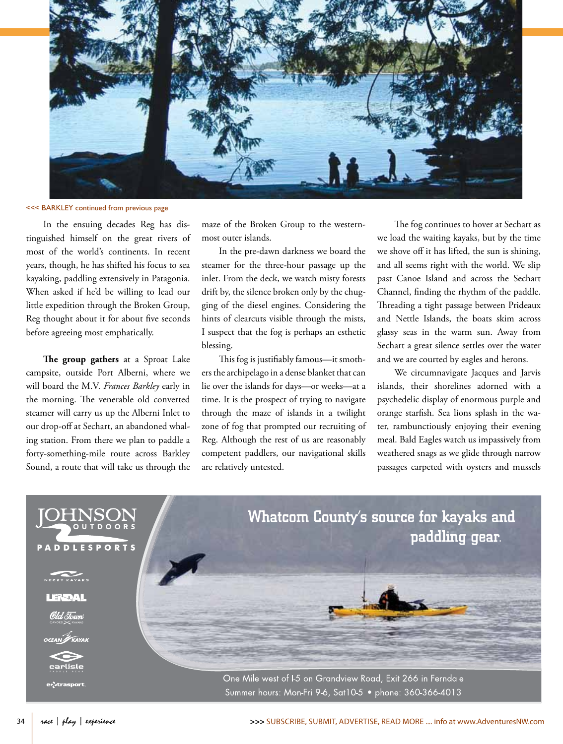

#### <<< BARKLEY continued from previous page

In the ensuing decades Reg has distinguished himself on the great rivers of most of the world's continents. In recent years, though, he has shifted his focus to sea kayaking, paddling extensively in Patagonia. When asked if he'd be willing to lead our little expedition through the Broken Group, Reg thought about it for about five seconds before agreeing most emphatically.

**The group gathers** at a Sproat Lake campsite, outside Port Alberni, where we will board the M.V. *Frances Barkley* early in the morning. The venerable old converted steamer will carry us up the Alberni Inlet to our drop-off at Sechart, an abandoned whaling station. From there we plan to paddle a forty-something-mile route across Barkley Sound, a route that will take us through the maze of the Broken Group to the westernmost outer islands.

In the pre-dawn darkness we board the steamer for the three-hour passage up the inlet. From the deck, we watch misty forests drift by, the silence broken only by the chugging of the diesel engines. Considering the hints of clearcuts visible through the mists, I suspect that the fog is perhaps an esthetic blessing.

This fog is justifiably famous—it smothers the archipelago in a dense blanket that can lie over the islands for days—or weeks—at a time. It is the prospect of trying to navigate through the maze of islands in a twilight zone of fog that prompted our recruiting of Reg. Although the rest of us are reasonably competent paddlers, our navigational skills are relatively untested.

The fog continues to hover at Sechart as we load the waiting kayaks, but by the time we shove off it has lifted, the sun is shining, and all seems right with the world. We slip past Canoe Island and across the Sechart Channel, finding the rhythm of the paddle. Threading a tight passage between Prideaux and Nettle Islands, the boats skim across glassy seas in the warm sun. Away from Sechart a great silence settles over the water and we are courted by eagles and herons.

We circumnavigate Jacques and Jarvis islands, their shorelines adorned with a psychedelic display of enormous purple and orange starfish. Sea lions splash in the water, rambunctiously enjoying their evening meal. Bald Eagles watch us impassively from weathered snags as we glide through narrow passages carpeted with oysters and mussels

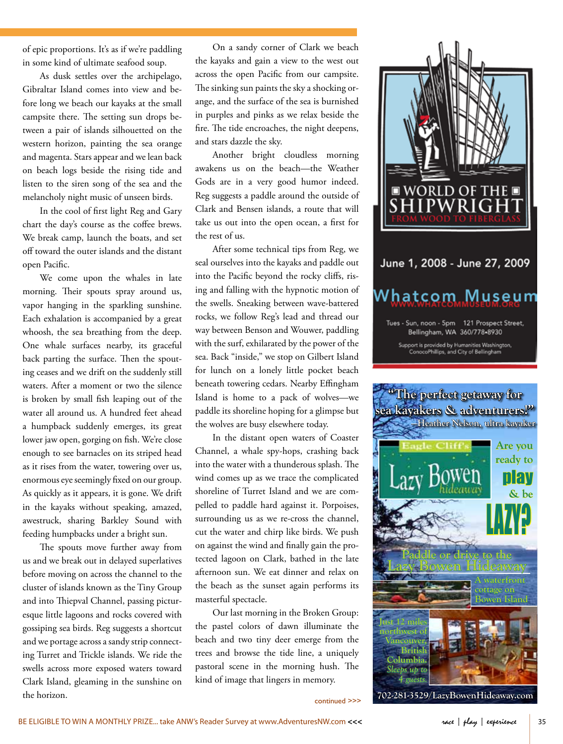of epic proportions. It's as if we're paddling in some kind of ultimate seafood soup.

As dusk settles over the archipelago, Gibraltar Island comes into view and before long we beach our kayaks at the small campsite there. The setting sun drops between a pair of islands silhouetted on the western horizon, painting the sea orange and magenta. Stars appear and we lean back on beach logs beside the rising tide and listen to the siren song of the sea and the melancholy night music of unseen birds.

In the cool of first light Reg and Gary chart the day's course as the coffee brews. We break camp, launch the boats, and set off toward the outer islands and the distant open Pacific.

We come upon the whales in late morning. Their spouts spray around us, vapor hanging in the sparkling sunshine. Each exhalation is accompanied by a great whoosh, the sea breathing from the deep. One whale surfaces nearby, its graceful back parting the surface. Then the spouting ceases and we drift on the suddenly still waters. After a moment or two the silence is broken by small fish leaping out of the water all around us. A hundred feet ahead a humpback suddenly emerges, its great lower jaw open, gorging on fish. We're close enough to see barnacles on its striped head as it rises from the water, towering over us, enormous eye seemingly fixed on our group. As quickly as it appears, it is gone. We drift in the kayaks without speaking, amazed, awestruck, sharing Barkley Sound with feeding humpbacks under a bright sun.

The spouts move further away from us and we break out in delayed superlatives before moving on across the channel to the cluster of islands known as the Tiny Group and into Thiepval Channel, passing picturesque little lagoons and rocks covered with gossiping sea birds. Reg suggests a shortcut and we portage across a sandy strip connecting Turret and Trickle islands. We ride the swells across more exposed waters toward Clark Island, gleaming in the sunshine on the horizon.

On a sandy corner of Clark we beach the kayaks and gain a view to the west out across the open Pacific from our campsite. The sinking sun paints the sky a shocking orange, and the surface of the sea is burnished in purples and pinks as we relax beside the fire. The tide encroaches, the night deepens, and stars dazzle the sky.

Another bright cloudless morning awakens us on the beach—the Weather Gods are in a very good humor indeed. Reg suggests a paddle around the outside of Clark and Bensen islands, a route that will take us out into the open ocean, a first for the rest of us.

After some technical tips from Reg, we seal ourselves into the kayaks and paddle out into the Pacific beyond the rocky cliffs, rising and falling with the hypnotic motion of the swells. Sneaking between wave-battered rocks, we follow Reg's lead and thread our way between Benson and Wouwer, paddling with the surf, exhilarated by the power of the sea. Back "inside," we stop on Gilbert Island for lunch on a lonely little pocket beach beneath towering cedars. Nearby Effingham Island is home to a pack of wolves—we paddle its shoreline hoping for a glimpse but the wolves are busy elsewhere today.

In the distant open waters of Coaster Channel, a whale spy-hops, crashing back into the water with a thunderous splash. The wind comes up as we trace the complicated shoreline of Turret Island and we are compelled to paddle hard against it. Porpoises, surrounding us as we re-cross the channel, cut the water and chirp like birds. We push on against the wind and finally gain the protected lagoon on Clark, bathed in the late afternoon sun. We eat dinner and relax on the beach as the sunset again performs its masterful spectacle.

Our last morning in the Broken Group: the pastel colors of dawn illuminate the beach and two tiny deer emerge from the trees and browse the tide line, a uniquely pastoral scene in the morning hush. The kind of image that lingers in memory.

continued >>>





**702-281-3529/LazyBowenHideaway.com**